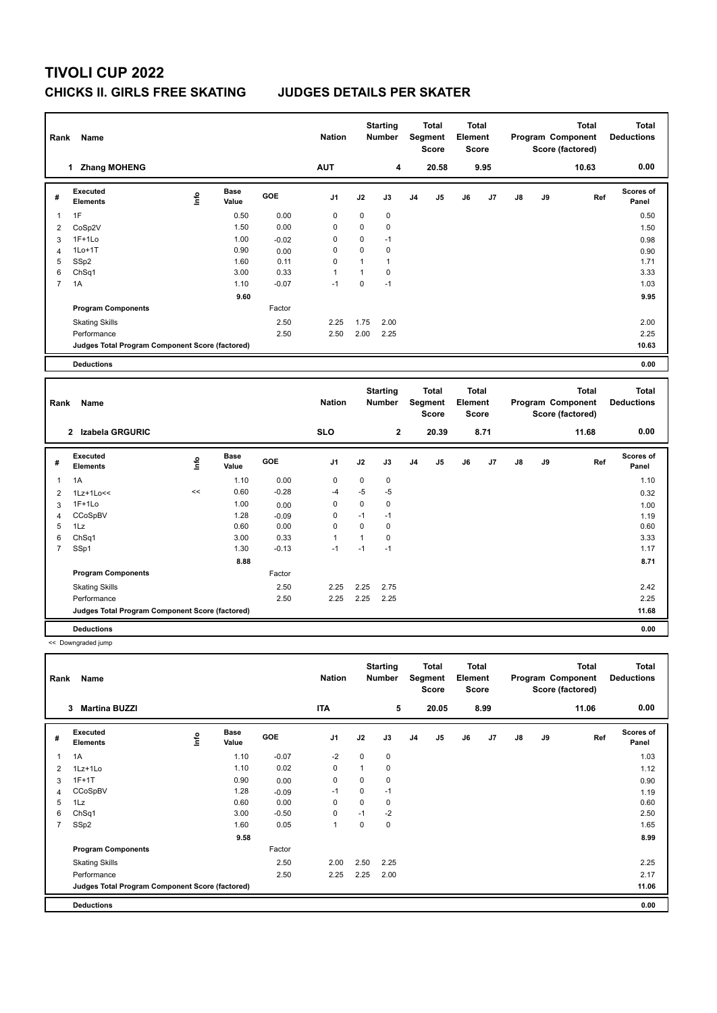# **TIVOLI CUP 2022 CHICKS II. GIRLS FREE SKATING JUDGES DETAILS PER SKATER**

| Rank           | Name                                            |             |                      |         | <b>Nation</b> |              | <b>Starting</b><br><b>Number</b> |                | <b>Total</b><br>Segment<br><b>Score</b> | <b>Total</b><br>Element<br>Score        |      |    |    | <b>Total</b><br>Program Component<br>Score (factored) |     | <b>Total</b><br><b>Deductions</b> |
|----------------|-------------------------------------------------|-------------|----------------------|---------|---------------|--------------|----------------------------------|----------------|-----------------------------------------|-----------------------------------------|------|----|----|-------------------------------------------------------|-----|-----------------------------------|
|                | 1 Zhang MOHENG                                  |             |                      |         | <b>AUT</b>    |              | 4                                |                | 20.58                                   |                                         | 9.95 |    |    | 10.63                                                 |     | 0.00                              |
| #              | <b>Executed</b><br><b>Elements</b>              | <u>info</u> | <b>Base</b><br>Value | GOE     | J1            | J2           | J3                               | J <sub>4</sub> | J5                                      | J6                                      | J7   | J8 | J9 |                                                       | Ref | <b>Scores of</b><br>Panel         |
| $\mathbf{1}$   | 1F                                              |             | 0.50                 | 0.00    | 0             | 0            | $\mathbf 0$                      |                |                                         |                                         |      |    |    |                                                       |     | 0.50                              |
| $\overline{2}$ | CoSp2V                                          |             | 1.50                 | 0.00    | $\mathbf 0$   | 0            | $\mathbf 0$                      |                |                                         |                                         |      |    |    |                                                       |     | 1.50                              |
| 3              | $1F+1Lo$                                        |             | 1.00                 | $-0.02$ | $\mathbf 0$   | 0            | $-1$                             |                |                                         |                                         |      |    |    |                                                       |     | 0.98                              |
| $\overline{4}$ | $1Lo+1T$                                        |             | 0.90                 | 0.00    | $\mathbf 0$   | 0            | $\mathbf 0$                      |                |                                         |                                         |      |    |    |                                                       |     | 0.90                              |
| 5              | SSp2                                            |             | 1.60                 | 0.11    | $\mathbf 0$   | $\mathbf{1}$ | $\mathbf{1}$                     |                |                                         |                                         |      |    |    |                                                       |     | 1.71                              |
| 6              | ChSq1                                           |             | 3.00                 | 0.33    | 1             | $\mathbf{1}$ | $\mathbf 0$                      |                |                                         |                                         |      |    |    |                                                       |     | 3.33                              |
| $\overline{7}$ | 1A                                              |             | 1.10                 | $-0.07$ | $-1$          | 0            | $-1$                             |                |                                         |                                         |      |    |    |                                                       |     | 1.03                              |
|                |                                                 |             | 9.60                 |         |               |              |                                  |                |                                         |                                         |      |    |    |                                                       |     | 9.95                              |
|                | <b>Program Components</b>                       |             |                      | Factor  |               |              |                                  |                |                                         |                                         |      |    |    |                                                       |     |                                   |
|                | <b>Skating Skills</b>                           |             |                      | 2.50    | 2.25          | 1.75         | 2.00                             |                |                                         |                                         |      |    |    |                                                       |     | 2.00                              |
|                | Performance                                     |             |                      | 2.50    | 2.50          | 2.00         | 2.25                             |                |                                         |                                         |      |    |    |                                                       |     | 2.25                              |
|                | Judges Total Program Component Score (factored) |             |                      |         |               |              |                                  |                |                                         |                                         |      |    |    |                                                       |     | 10.63                             |
|                | <b>Deductions</b>                               |             |                      |         |               |              |                                  |                |                                         |                                         |      |    |    |                                                       |     | 0.00                              |
|                |                                                 |             |                      |         |               |              |                                  |                |                                         |                                         |      |    |    |                                                       |     |                                   |
| Rank           | Name                                            |             |                      |         | <b>Nation</b> |              | <b>Starting</b><br><b>Number</b> |                | <b>Total</b><br>Segment<br><b>Score</b> | <b>Total</b><br>Element<br><b>Score</b> |      |    |    | <b>Total</b><br>Program Component<br>Score (factored) |     | <b>Total</b><br><b>Deductions</b> |
|                | 2 Izabela GRGURIC                               |             |                      |         | <b>SLO</b>    |              | $\mathbf{2}$                     |                | 20.39                                   |                                         | 8.71 |    |    | 11.68                                                 |     | 0.00                              |
| #              | <b>Executed</b><br><b>Elements</b>              | Linfo       | <b>Base</b><br>Value | GOE     | J1            | J2           | J3                               | J4             | J5                                      | J6                                      | J7   | J8 | J9 |                                                       | Ref | <b>Scores of</b><br>Panel         |
| $\mathbf{1}$   | 1A                                              |             | 1.10                 | 0.00    | 0             | 0            | $\pmb{0}$                        |                |                                         |                                         |      |    |    |                                                       |     | 1.10                              |
| $\overline{2}$ | 1Lz+1Lo<<                                       | <<          | 0.60                 | $-0.28$ | $-4$          | $-5$         | -5                               |                |                                         |                                         |      |    |    |                                                       |     | 0.32                              |
| 3              | $1F+1Lo$                                        |             | 1.00                 | 0.00    | $\mathbf 0$   | 0            | $\mathbf 0$                      |                |                                         |                                         |      |    |    |                                                       |     | 1.00                              |
| $\overline{4}$ | CCoSpBV                                         |             | 1.28                 | $-0.09$ | 0             | $-1$         | $-1$                             |                |                                         |                                         |      |    |    |                                                       |     | 1.19                              |
| 5              | 1Lz                                             |             | 0.60                 | 0.00    | $\mathbf 0$   | $\mathbf 0$  | $\mathbf 0$                      |                |                                         |                                         |      |    |    |                                                       |     | 0.60                              |
| 6              | ChSq1                                           |             | 3.00                 | 0.33    | 1             | $\mathbf{1}$ | 0                                |                |                                         |                                         |      |    |    |                                                       |     | 3.33                              |
| $\overline{7}$ | SSp1                                            |             | 1.30                 | $-0.13$ | $-1$          | $-1$         | $-1$                             |                |                                         |                                         |      |    |    |                                                       |     | 1.17                              |
|                |                                                 |             | 8.88                 |         |               |              |                                  |                |                                         |                                         |      |    |    |                                                       |     | 8.71                              |
|                | <b>Program Components</b>                       |             |                      | Factor  |               |              |                                  |                |                                         |                                         |      |    |    |                                                       |     |                                   |
|                | <b>Skating Skills</b>                           |             |                      | 2.50    | 2.25          | 2.25         | 2.75                             |                |                                         |                                         |      |    |    |                                                       |     | 2.42                              |
|                | Performance                                     |             |                      | 2.50    | 2.25          | 2.25         | 2.25                             |                |                                         |                                         |      |    |    |                                                       |     | 2.25                              |
|                | Judges Total Program Component Score (factored) |             |                      |         |               |              |                                  |                |                                         |                                         |      |    |    |                                                       |     | 11.68                             |
|                | <b>Deductions</b>                               |             |                      |         |               |              |                                  |                |                                         |                                         |      |    |    |                                                       |     | 0.00                              |

| 5<br><b>ITA</b><br>20.05<br>8.99<br>11.06<br><b>Martina BUZZI</b><br>3<br><b>Base</b><br>Executed<br>lnfo<br><b>GOE</b><br>J <sub>1</sub><br>Ref<br>J2<br>J3<br>J <sub>5</sub><br>J6<br>J8<br>J9<br>J <sub>4</sub><br>J <sub>7</sub><br>#<br><b>Elements</b><br>Value<br>$-2$<br>$\mathbf 0$<br>1A<br>1.10<br>$-0.07$<br>0<br>1<br>1.10<br>0.02<br>0<br>0<br>$1Lz+1Lo$<br>2<br>$1F+1T$<br>0<br>$\Omega$<br>0.90<br>0<br>0.00<br>3<br>$\mathbf 0$<br>$-1$<br>CCoSpBV<br>1.28<br>$-1$<br>$-0.09$<br>4<br>1Lz<br>0.00<br>0.60<br>0<br>0<br>5<br>0<br>$-2$<br>$\mathbf 0$<br>ChSq1<br>3.00<br>$-0.50$<br>$-1$<br>6<br>SSp2<br>0.05<br>$\overline{1}$<br>$\mathbf 0$<br>$\mathbf 0$<br>$\overline{7}$<br>1.60<br>9.58<br><b>Program Components</b><br>Factor<br>2.50<br>2.50<br><b>Skating Skills</b><br>2.00<br>2.25<br>2.25<br>2.50<br>2.25<br>2.00<br>Performance<br>Judges Total Program Component Score (factored) | Rank | Name              |  | <b>Nation</b> | <b>Starting</b><br><b>Number</b> | <b>Total</b><br>Segment<br><b>Score</b> | <b>Total</b><br>Element<br><b>Score</b> |  | <b>Total</b><br>Program Component<br>Score (factored) | Total<br><b>Deductions</b> |
|--------------------------------------------------------------------------------------------------------------------------------------------------------------------------------------------------------------------------------------------------------------------------------------------------------------------------------------------------------------------------------------------------------------------------------------------------------------------------------------------------------------------------------------------------------------------------------------------------------------------------------------------------------------------------------------------------------------------------------------------------------------------------------------------------------------------------------------------------------------------------------------------------------------------|------|-------------------|--|---------------|----------------------------------|-----------------------------------------|-----------------------------------------|--|-------------------------------------------------------|----------------------------|
|                                                                                                                                                                                                                                                                                                                                                                                                                                                                                                                                                                                                                                                                                                                                                                                                                                                                                                                    |      |                   |  |               |                                  |                                         |                                         |  |                                                       | 0.00                       |
|                                                                                                                                                                                                                                                                                                                                                                                                                                                                                                                                                                                                                                                                                                                                                                                                                                                                                                                    |      |                   |  |               |                                  |                                         |                                         |  |                                                       | Scores of<br>Panel         |
|                                                                                                                                                                                                                                                                                                                                                                                                                                                                                                                                                                                                                                                                                                                                                                                                                                                                                                                    |      |                   |  |               |                                  |                                         |                                         |  |                                                       | 1.03                       |
|                                                                                                                                                                                                                                                                                                                                                                                                                                                                                                                                                                                                                                                                                                                                                                                                                                                                                                                    |      |                   |  |               |                                  |                                         |                                         |  |                                                       | 1.12                       |
|                                                                                                                                                                                                                                                                                                                                                                                                                                                                                                                                                                                                                                                                                                                                                                                                                                                                                                                    |      |                   |  |               |                                  |                                         |                                         |  |                                                       | 0.90                       |
|                                                                                                                                                                                                                                                                                                                                                                                                                                                                                                                                                                                                                                                                                                                                                                                                                                                                                                                    |      |                   |  |               |                                  |                                         |                                         |  |                                                       | 1.19                       |
|                                                                                                                                                                                                                                                                                                                                                                                                                                                                                                                                                                                                                                                                                                                                                                                                                                                                                                                    |      |                   |  |               |                                  |                                         |                                         |  |                                                       | 0.60                       |
|                                                                                                                                                                                                                                                                                                                                                                                                                                                                                                                                                                                                                                                                                                                                                                                                                                                                                                                    |      |                   |  |               |                                  |                                         |                                         |  |                                                       | 2.50                       |
|                                                                                                                                                                                                                                                                                                                                                                                                                                                                                                                                                                                                                                                                                                                                                                                                                                                                                                                    |      |                   |  |               |                                  |                                         |                                         |  |                                                       | 1.65                       |
|                                                                                                                                                                                                                                                                                                                                                                                                                                                                                                                                                                                                                                                                                                                                                                                                                                                                                                                    |      |                   |  |               |                                  |                                         |                                         |  |                                                       | 8.99                       |
|                                                                                                                                                                                                                                                                                                                                                                                                                                                                                                                                                                                                                                                                                                                                                                                                                                                                                                                    |      |                   |  |               |                                  |                                         |                                         |  |                                                       |                            |
|                                                                                                                                                                                                                                                                                                                                                                                                                                                                                                                                                                                                                                                                                                                                                                                                                                                                                                                    |      |                   |  |               |                                  |                                         |                                         |  |                                                       | 2.25                       |
|                                                                                                                                                                                                                                                                                                                                                                                                                                                                                                                                                                                                                                                                                                                                                                                                                                                                                                                    |      |                   |  |               |                                  |                                         |                                         |  |                                                       | 2.17                       |
|                                                                                                                                                                                                                                                                                                                                                                                                                                                                                                                                                                                                                                                                                                                                                                                                                                                                                                                    |      |                   |  |               |                                  |                                         |                                         |  |                                                       | 11.06                      |
|                                                                                                                                                                                                                                                                                                                                                                                                                                                                                                                                                                                                                                                                                                                                                                                                                                                                                                                    |      | <b>Deductions</b> |  |               |                                  |                                         |                                         |  |                                                       | 0.00                       |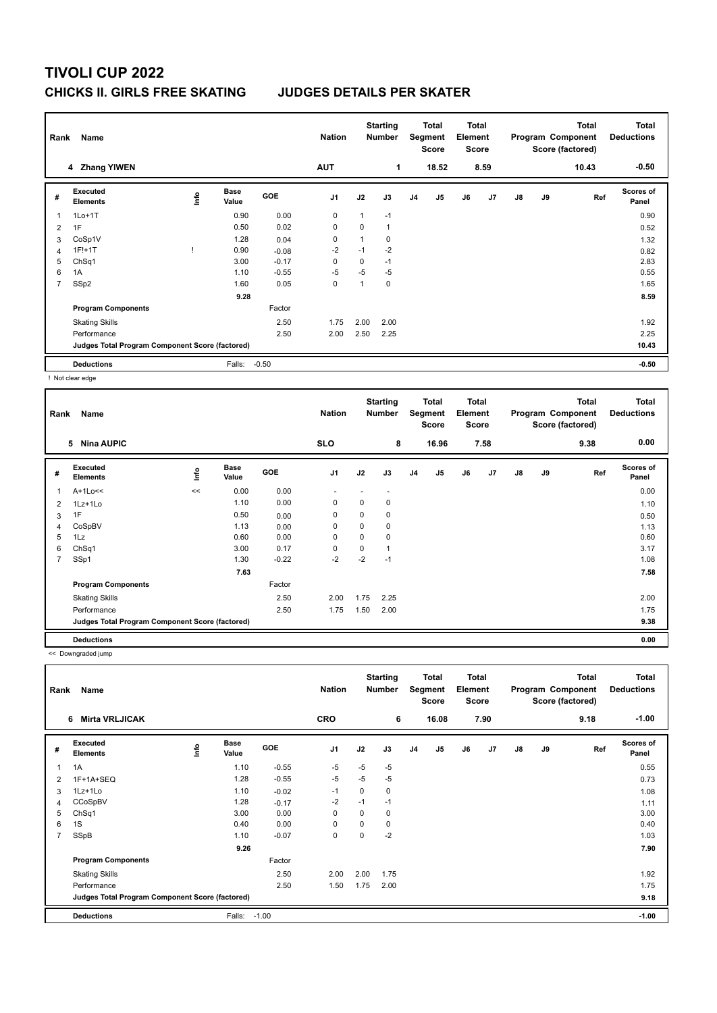## **TIVOLI CUP 2022 CHICKS II. GIRLS FREE SKATING JUDGES DETAILS PER SKATER**

|                | Rank<br>Name                                    |      |                      |            |                |              | <b>Starting</b><br><b>Number</b> |                | Total<br>Segment<br><b>Score</b> |    | Total<br>Element<br><b>Score</b><br>8.59 |               | <b>Total</b><br>Program Component<br>Score (factored)<br>10.43 |     | <b>Total</b><br><b>Deductions</b> |
|----------------|-------------------------------------------------|------|----------------------|------------|----------------|--------------|----------------------------------|----------------|----------------------------------|----|------------------------------------------|---------------|----------------------------------------------------------------|-----|-----------------------------------|
|                | 4 Zhang YIWEN                                   |      |                      |            | <b>AUT</b>     |              | 1                                |                | 18.52                            |    |                                          |               |                                                                |     | $-0.50$                           |
| #              | Executed<br><b>Elements</b>                     | Info | <b>Base</b><br>Value | <b>GOE</b> | J <sub>1</sub> | J2           | J3                               | J <sub>4</sub> | J <sub>5</sub>                   | J6 | J7                                       | $\mathsf{J}8$ | J9                                                             | Ref | <b>Scores of</b><br>Panel         |
| 1              | $1Lo+1T$                                        |      | 0.90                 | 0.00       | $\mathbf 0$    | 1            | $-1$                             |                |                                  |    |                                          |               |                                                                |     | 0.90                              |
| 2              | 1F                                              |      | 0.50                 | 0.02       | $\mathbf 0$    | 0            | $\mathbf{1}$                     |                |                                  |    |                                          |               |                                                                |     | 0.52                              |
| 3              | CoSp1V                                          |      | 1.28                 | 0.04       | 0              | $\mathbf{1}$ | 0                                |                |                                  |    |                                          |               |                                                                |     | 1.32                              |
| $\overline{4}$ | $1F!+1T$                                        |      | 0.90                 | $-0.08$    | $-2$           | $-1$         | $-2$                             |                |                                  |    |                                          |               |                                                                |     | 0.82                              |
| 5              | ChSq1                                           |      | 3.00                 | $-0.17$    | 0              | 0            | $-1$                             |                |                                  |    |                                          |               |                                                                |     | 2.83                              |
| 6              | 1A                                              |      | 1.10                 | $-0.55$    | $-5$           | $-5$         | $-5$                             |                |                                  |    |                                          |               |                                                                |     | 0.55                              |
| $\overline{7}$ | SSp2                                            |      | 1.60                 | 0.05       | $\mathbf 0$    | 1            | 0                                |                |                                  |    |                                          |               |                                                                |     | 1.65                              |
|                |                                                 |      | 9.28                 |            |                |              |                                  |                |                                  |    |                                          |               |                                                                |     | 8.59                              |
|                | <b>Program Components</b>                       |      |                      | Factor     |                |              |                                  |                |                                  |    |                                          |               |                                                                |     |                                   |
|                | <b>Skating Skills</b>                           |      |                      | 2.50       | 1.75           | 2.00         | 2.00                             |                |                                  |    |                                          |               |                                                                |     | 1.92                              |
|                | Performance                                     |      |                      | 2.50       | 2.00           | 2.50         | 2.25                             |                |                                  |    |                                          |               |                                                                |     | 2.25                              |
|                | Judges Total Program Component Score (factored) |      |                      |            |                |              |                                  |                |                                  |    |                                          |               |                                                                |     | 10.43                             |
|                | <b>Deductions</b>                               |      | Falls:               | $-0.50$    |                |              |                                  |                |                                  |    |                                          |               |                                                                |     | $-0.50$                           |

! Not clear edge

| Rank | Name                                            |    |                      |         | <b>Nation</b>  |          | <b>Starting</b><br><b>Number</b> |    | <b>Total</b><br>Segment<br><b>Score</b> | <b>Total</b><br>Element<br><b>Score</b> |      |    |    | <b>Total</b><br>Program Component<br>Score (factored) | <b>Total</b><br><b>Deductions</b> |
|------|-------------------------------------------------|----|----------------------|---------|----------------|----------|----------------------------------|----|-----------------------------------------|-----------------------------------------|------|----|----|-------------------------------------------------------|-----------------------------------|
|      | <b>Nina AUPIC</b><br>5                          |    |                      |         | <b>SLO</b>     |          | 8                                |    | 16.96                                   |                                         | 7.58 |    |    | 9.38                                                  | 0.00                              |
| #    | <b>Executed</b><br><b>Elements</b>              | ۴ů | <b>Base</b><br>Value | GOE     | J <sub>1</sub> | J2       | J3                               | J4 | J5                                      | J6                                      | J7   | J8 | J9 | Ref                                                   | Scores of<br>Panel                |
| 1    | $A+1Lo<<$                                       | << | 0.00                 | 0.00    |                |          |                                  |    |                                         |                                         |      |    |    |                                                       | 0.00                              |
| 2    | 1Lz+1Lo                                         |    | 1.10                 | 0.00    | 0              | 0        | 0                                |    |                                         |                                         |      |    |    |                                                       | 1.10                              |
| 3    | 1F                                              |    | 0.50                 | 0.00    | 0              | 0        | 0                                |    |                                         |                                         |      |    |    |                                                       | 0.50                              |
| 4    | CoSpBV                                          |    | 1.13                 | 0.00    | 0              | 0        | 0                                |    |                                         |                                         |      |    |    |                                                       | 1.13                              |
| 5    | 1Lz                                             |    | 0.60                 | 0.00    | $\Omega$       | $\Omega$ | 0                                |    |                                         |                                         |      |    |    |                                                       | 0.60                              |
| 6    | ChSq1                                           |    | 3.00                 | 0.17    | 0              | 0        | 1                                |    |                                         |                                         |      |    |    |                                                       | 3.17                              |
| 7    | SSp1                                            |    | 1.30                 | $-0.22$ | -2             | $-2$     | $-1$                             |    |                                         |                                         |      |    |    |                                                       | 1.08                              |
|      |                                                 |    | 7.63                 |         |                |          |                                  |    |                                         |                                         |      |    |    |                                                       | 7.58                              |
|      | <b>Program Components</b>                       |    |                      | Factor  |                |          |                                  |    |                                         |                                         |      |    |    |                                                       |                                   |
|      | <b>Skating Skills</b>                           |    |                      | 2.50    | 2.00           | 1.75     | 2.25                             |    |                                         |                                         |      |    |    |                                                       | 2.00                              |
|      | Performance                                     |    |                      | 2.50    | 1.75           | 1.50     | 2.00                             |    |                                         |                                         |      |    |    |                                                       | 1.75                              |
|      | Judges Total Program Component Score (factored) |    |                      |         |                |          |                                  |    |                                         |                                         |      |    |    |                                                       | 9.38                              |
|      | <b>Deductions</b>                               |    |                      |         |                |          |                                  |    |                                         |                                         |      |    |    |                                                       | 0.00                              |

<< Downgraded jump

| Rank           | Name                                            |      |                      |         | <b>Nation</b>  |          | <b>Starting</b><br><b>Number</b> |                | Total<br>Segment<br><b>Score</b> | Total<br>Element<br><b>Score</b> |      |               |    | <b>Total</b><br>Program Component<br>Score (factored) | <b>Total</b><br><b>Deductions</b> |
|----------------|-------------------------------------------------|------|----------------------|---------|----------------|----------|----------------------------------|----------------|----------------------------------|----------------------------------|------|---------------|----|-------------------------------------------------------|-----------------------------------|
|                | <b>Mirta VRLJICAK</b><br>6                      |      |                      |         | <b>CRO</b>     |          | 6                                |                | 16.08                            |                                  | 7.90 |               |    | 9.18                                                  | $-1.00$                           |
| #              | Executed<br><b>Elements</b>                     | lnfo | <b>Base</b><br>Value | GOE     | J <sub>1</sub> | J2       | J3                               | J <sub>4</sub> | J5                               | J6                               | J7   | $\mathsf{J}8$ | J9 | Ref                                                   | <b>Scores of</b><br>Panel         |
| 1              | 1A                                              |      | 1.10                 | $-0.55$ | $-5$           | $-5$     | $-5$                             |                |                                  |                                  |      |               |    |                                                       | 0.55                              |
| 2              | 1F+1A+SEQ                                       |      | 1.28                 | $-0.55$ | $-5$           | $-5$     | $-5$                             |                |                                  |                                  |      |               |    |                                                       | 0.73                              |
| 3              | 1Lz+1Lo                                         |      | 1.10                 | $-0.02$ | $-1$           | 0        | 0                                |                |                                  |                                  |      |               |    |                                                       | 1.08                              |
| 4              | CCoSpBV                                         |      | 1.28                 | $-0.17$ | $-2$           | $-1$     | $-1$                             |                |                                  |                                  |      |               |    |                                                       | 1.11                              |
| 5              | ChSq1                                           |      | 3.00                 | 0.00    | 0              | $\Omega$ | 0                                |                |                                  |                                  |      |               |    |                                                       | 3.00                              |
| 6              | 1S                                              |      | 0.40                 | 0.00    | 0              | 0        | 0                                |                |                                  |                                  |      |               |    |                                                       | 0.40                              |
| $\overline{7}$ | SSpB                                            |      | 1.10                 | $-0.07$ | 0              | 0        | $-2$                             |                |                                  |                                  |      |               |    |                                                       | 1.03                              |
|                |                                                 |      | 9.26                 |         |                |          |                                  |                |                                  |                                  |      |               |    |                                                       | 7.90                              |
|                | <b>Program Components</b>                       |      |                      | Factor  |                |          |                                  |                |                                  |                                  |      |               |    |                                                       |                                   |
|                | <b>Skating Skills</b>                           |      |                      | 2.50    | 2.00           | 2.00     | 1.75                             |                |                                  |                                  |      |               |    |                                                       | 1.92                              |
|                | Performance                                     |      |                      | 2.50    | 1.50           | 1.75     | 2.00                             |                |                                  |                                  |      |               |    |                                                       | 1.75                              |
|                | Judges Total Program Component Score (factored) |      |                      |         |                |          |                                  |                |                                  |                                  |      |               |    |                                                       | 9.18                              |
|                | <b>Deductions</b>                               |      | Falls:               | $-1.00$ |                |          |                                  |                |                                  |                                  |      |               |    |                                                       | $-1.00$                           |